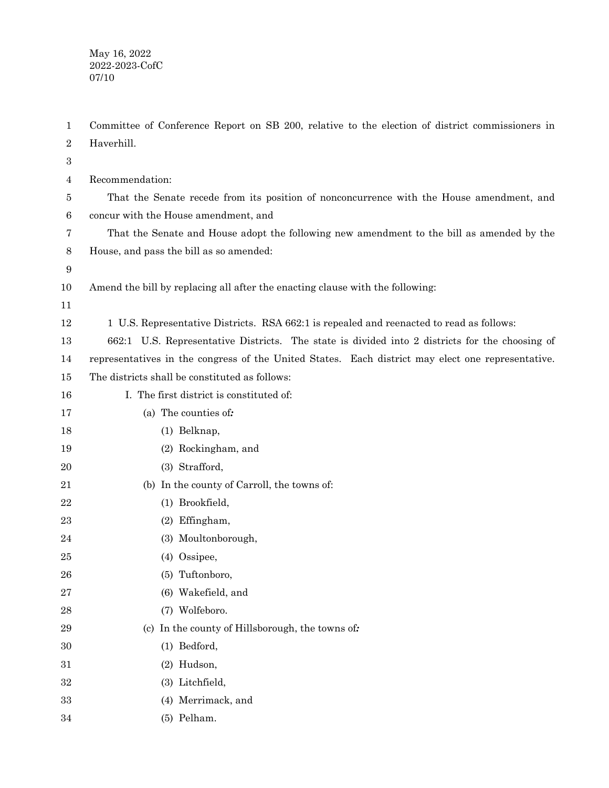May 16, 2022 2022-2023-CofC 07/10

Committee of Conference Report on SB 200, relative to the election of district commissioners in Haverhill. Recommendation: That the Senate recede from its position of nonconcurrence with the House amendment, and concur with the House amendment, and 1 2 3 4 5 6

That the Senate and House adopt the following new amendment to the bill as amended by the House, and pass the bill as so amended: 7 8

9

Amend the bill by replacing all after the enacting clause with the following: 10

11

1 U.S. Representative Districts. RSA 662:1 is repealed and reenacted to read as follows: 12

662:1 U.S. Representative Districts. The state is divided into 2 districts for the choosing of representatives in the congress of the United States. Each district may elect one representative. 13 14

The districts shall be constituted as follows: 15

I. The first district is constituted of: 16

(a) The counties of*:* 17

(1) Belknap,

(2) Rockingham, and

(3) Strafford,

(b) In the county of Carroll, the towns of:

(1) Brookfield,

(2) Effingham,

(3) Moultonborough,

(4) Ossipee, 25

(5) Tuftonboro,

(6) Wakefield, and

(7) Wolfeboro.

(c) In the county of Hillsborough, the towns of*:*

(1) Bedford,

(2) Hudson,

(3) Litchfield, 32

(4) Merrimack, and 33

(5) Pelham. 34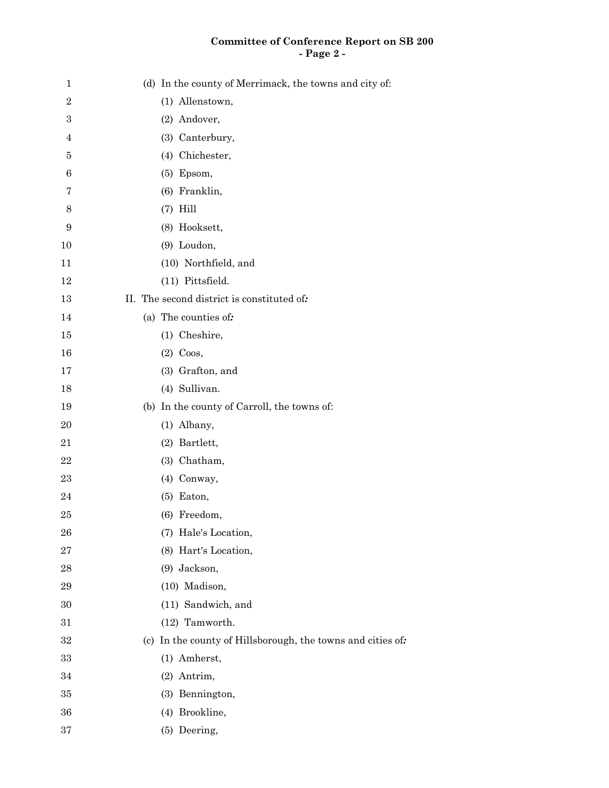## **Committee of Conference Report on SB 200 - Page 2 -**

| $\mathbf 1$    | (d) In the county of Merrimack, the towns and city of:      |
|----------------|-------------------------------------------------------------|
| $\overline{2}$ | (1) Allenstown,                                             |
| 3              | (2) Andover,                                                |
| 4              | (3) Canterbury,                                             |
| 5              | (4) Chichester,                                             |
| 6              | $(5)$ Epsom,                                                |
| 7              | (6) Franklin,                                               |
| 8              | $(7)$ Hill                                                  |
| 9              | (8) Hooksett,                                               |
| 10             | (9) Loudon,                                                 |
| 11             | (10) Northfield, and                                        |
| 12             | (11) Pittsfield.                                            |
| 13             | II. The second district is constituted of:                  |
| 14             | (a) The counties of:                                        |
| 15             | (1) Cheshire,                                               |
| 16             | $(2)$ Coos,                                                 |
| 17             | (3) Grafton, and                                            |
| 18             | (4) Sullivan.                                               |
| 19             | (b) In the county of Carroll, the towns of:                 |
| 20             | (1) Albany,                                                 |
| 21             | (2) Bartlett,                                               |
| 22             | (3) Chatham,                                                |
| 23             | (4) Conway,                                                 |
| 24             | $(5)$ Eaton,                                                |
| 25             | (6) Freedom,                                                |
| 26             | (7) Hale's Location,                                        |
| 27             | (8) Hart's Location,                                        |
| 28             | (9) Jackson,                                                |
| 29             | (10) Madison,                                               |
| 30             | (11) Sandwich, and                                          |
| 31             | (12) Tamworth.                                              |
| 32             | (c) In the county of Hillsborough, the towns and cities of: |
| 33             | (1) Amherst,                                                |
| 34             | (2) Antrim,                                                 |
| 35             | (3) Bennington,                                             |
| 36             | (4) Brookline,                                              |
| 37             | (5) Deering,                                                |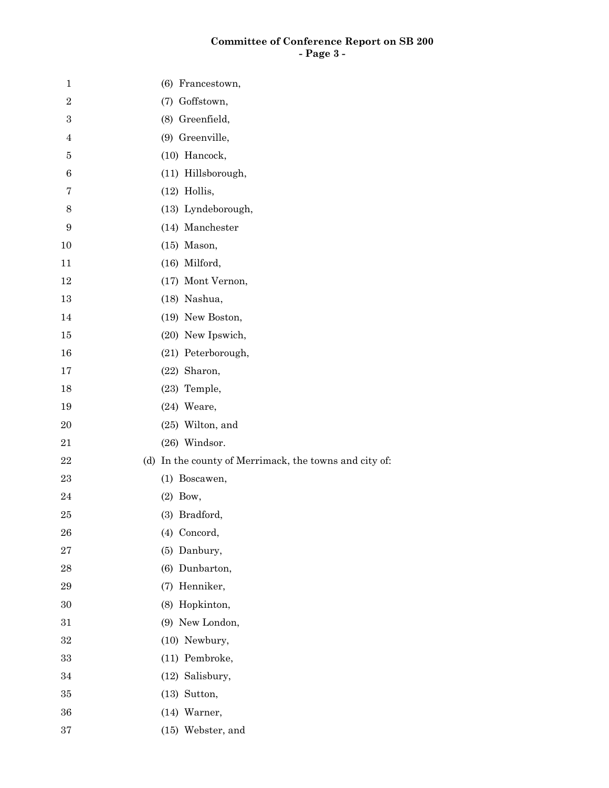## **Committee of Conference Report on SB 200 - Page 3 -**

| $\mathbf{1}$     | (6) Francestown,                                       |
|------------------|--------------------------------------------------------|
| $\sqrt{2}$       | (7) Goffstown,                                         |
| $\,3$            | (8) Greenfield,                                        |
| $\overline{4}$   | (9) Greenville,                                        |
| 5                | (10) Hancock,                                          |
| $\,6$            | (11) Hillsborough,                                     |
| 7                | $(12)$ Hollis,                                         |
| $8\,$            | (13) Lyndeborough,                                     |
| $\boldsymbol{9}$ | (14) Manchester                                        |
| 10               | $(15)$ Mason,                                          |
| 11               | (16) Milford,                                          |
| 12               | (17) Mont Vernon,                                      |
| 13               | (18) Nashua,                                           |
| 14               | (19) New Boston,                                       |
| 15               | (20) New Ipswich,                                      |
| 16               | (21) Peterborough,                                     |
| 17               | $(22)$ Sharon,                                         |
| 18               | (23) Temple,                                           |
| 19               | (24) Weare,                                            |
| 20               | $(25)$ Wilton, and                                     |
| 21               | (26) Windsor.                                          |
| 22               | (d) In the county of Merrimack, the towns and city of: |
| 23               | (1) Boscawen,                                          |
| 24               | $(2)$ Bow,                                             |
| 25               | (3) Bradford,                                          |
| 26               | (4) Concord,                                           |
| $\sqrt{27}$      | (5) Danbury,                                           |
| 28               | (6) Dunbarton,                                         |
| 29               | Henniker,<br>(7)                                       |
| $30\,$           | Hopkinton,<br>(8)                                      |
| 31               | (9) New London,                                        |
| $32\,$           | (10) Newbury,                                          |
| 33               | (11) Pembroke,                                         |
| 34               | (12) Salisbury,                                        |
| $35\,$           | $(13)$ Sutton,                                         |
| 36               | (14) Warner,                                           |
| 37               | (15) Webster, and                                      |